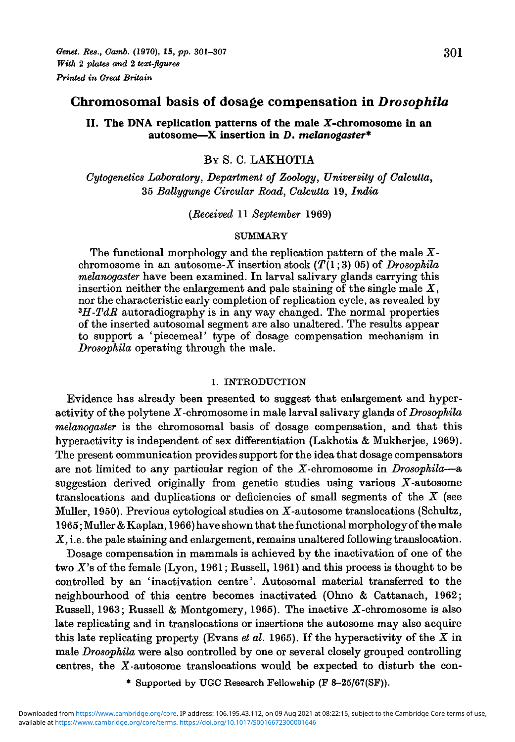# **II.** The DNA replication patterns of the male X-chromosome in an **autosome—X insertion in** *D. melanogaster\**

# **BY S. C. LAKHOTIA**

*Cytogenetics Laboratory, Department of Zoology, University of Calcutta,* 35 *Ballygunge Circular Road, Calcutta* 19, *India*

*(Received* 11 *September* 1969)

#### SUMMARY

The functional morphology and the replication pattern of the male  $X$ chromosome in an autosome-X insertion stock  $(T(1; 3) 05)$  of *Drosophila melanogaster* have been examined. In larval salivary glands carrying this insertion neither the enlargement and pale staining of the single male  $X$ , nor the characteristic early completion of replication cycle, as revealed by *<sup>3</sup>H-TdR* autoradiography is in any way changed. The normal properties of the inserted autosomal segment are also unaltered. The results appear to support a 'piecemeal' type of dosage compensation mechanism in *Drosophila* operating through the male.

#### 1. INTRODUCTION

Evidence has already been presented to suggest that enlargement and hyperactivity of the polytene X-chromosome in male larval salivary glands *of Drosophila melanogaster* is the chromosomal basis of dosage compensation, and that this hyperactivity is independent of sex differentiation (Lakhotia & Mukherjee, 1969). The present communication provides support for the idea that dosage compensators are not limited to any particular region of the X-chromosome in *Drosophila*—a suggestion derived originally from genetic studies using various  $X$ -autosome translocations and duplications or deficiencies of small segments of the  $X$  (see Muller, 1950). Previous cytological studies on X-autosome translocations (Schultz, 1965; Muller & Kaplan, 1966) have shown that the functional morphology of the male X, i.e. the pale staining and enlargement, remains unaltered following translocation.

Dosage compensation in mammals is achieved by the inactivation of one of the two X's of the female (Lyon, 1961; Russell, 1961) and this process is thought to be controlled by an 'inactivation centre'. Autosomal material transferred to the neighbourhood of this centre becomes inactivated (Ohno & Cattanach, 1962; Russell, 1963; Russell & Montgomery, 1965). The inactive X-chromosome is also late replicating and in translocations or insertions the autosome may also acquire this late replicating property (Evans *et al.* 1965). If the hyperactivity of the X in male *Drosophila* were also controlled by one or several closely grouped controlling centres, the X-autosome translocations would be expected to disturb the con-

\* Supported by UGC Research Fellowship (F 8-25/67(SF)).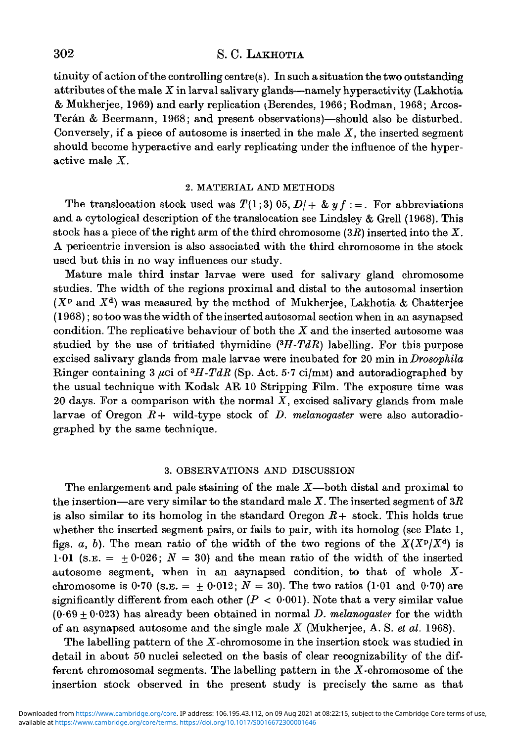# 302 S. C. LAKHOTIA

tinuity of action of the controlling centre(s). In such a situation the two outstanding attributes of the male *X* in larval salivary glands—namely hyperactivity (Lakhotia & Mukherjee, 1969) and early replication ^Berendes, 1966; Rodman, 1968; Arcos-Terán & Beermann, 1968; and present observations)—should also be disturbed. Conversely, if a piece of autosome is inserted in the male *X,* the inserted segment should become hyperactive and early replicating under the influence of the hyperactive male *X.*

### 2. MATERIAL AND METHODS

The translocation stock used was  $T(1,3)$  05,  $D/+\&$   $y f :=$ . For abbreviations and a cytological description of the translocation see Lindsley & Grell (1968). This stock has a piece of the right arm of the third chromosome *(3B)* inserted into the *X.* A pericentric inversion is also associated with the third chromosome in the stock used but this in no way influences our study.

Mature male third instar larvae were used for salivary gland chromosome studies. The width of the regions proximal and distal to the autosomal insertion  $(X^{\text{p}}$  and  $X^{\text{d}})$  was measured by the method of Mukherjee, Lakhotia & Chatterjee (1968); so too was the width of the inserted autosomal section when in an asynapsed condition. The replicative behaviour of both the *X* and the inserted autosome was studied by the use of tritiated thymidine *(<sup>3</sup>H-TdR)* labelling. For this purpose excised salivary glands from male larvae were incubated for 20 min in *Drosophila* Ringer containing 3  $\mu$ ci of <sup>3</sup>*H-TdR* (Sp. Act. 5.7 ci/mm) and autoradiographed by the usual technique with Kodak AR 10 Stripping Film. The exposure time was 20 days. For a comparison with the normal *X,* excised salivary glands from male larvae of Oregon *E+* wild-type stock of *D. melanogaster* were also autoradiographed by the same technique.

## 3. OBSERVATIONS AND DISCUSSION

The enlargement and pale staining of the male *X*—both distal and proximal to the insertion—are very similar to the standard male *X.* The inserted segment of *3R* is also similar to its homolog in the standard Oregon *R+* stock. This holds true whether the inserted segment pairs, or fails to pair, with its homolog (see Plate 1, figs. a, b). The mean ratio of the width of the two regions of the  $X(X^p/X^d)$  is 1.01 (s.e.  $= \pm 0.026$ ;  $N = 30$ ) and the mean ratio of the width of the inserted autosome segment, when in an asynapsed condition, to that of whole *X*chromosome is  $0.70$  (s.e. =  $\pm 0.012$ ;  $N = 30$ ). The two ratios (1.01 and 0.70) are significantly different from each other  $(P < 0.001)$ . Note that a very similar value (0-69 + 0-023) has already been obtained in normal *D. melanogaster* for the width of an asynapsed autosome and the single male *X* (Mukherjee, A. S. *et al.* 1968).

The labelling pattern of the  $X$ -chromosome in the insertion stock was studied in detail in about 50 nuclei selected on the basis of clear recognizability of the different chromosomal segments. The labelling pattern in the X-chromosome of the insertion stock observed in the present study is precisely the same as that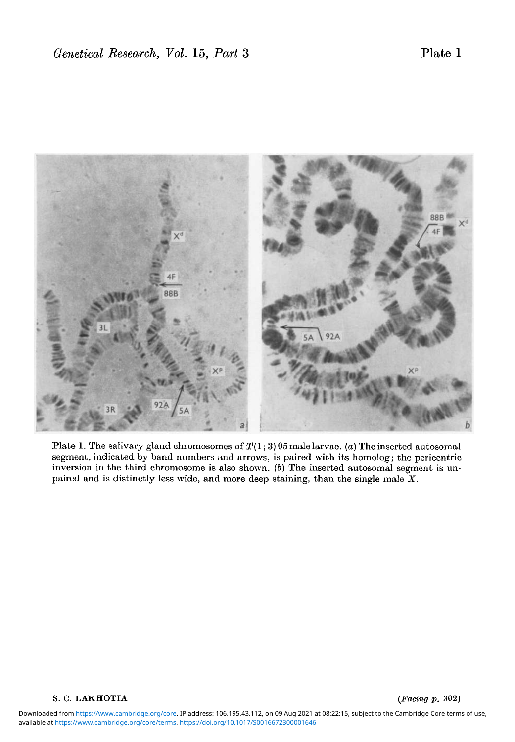

Plate 1. The salivary gland chromosomes of *T(l;* 3) 05 male larvae, (a) The inserted autosomal segment, indicated by band numbers and arrows, is paired with its homolog; the pericentric inversion in the third chromosome is also shown. (6) The inserted autosomal segment is unpaired and is distinctly less wide, and more deep staining, than the single male *X.*

### S. C. LAKHOTIA *(Facing p.* 302)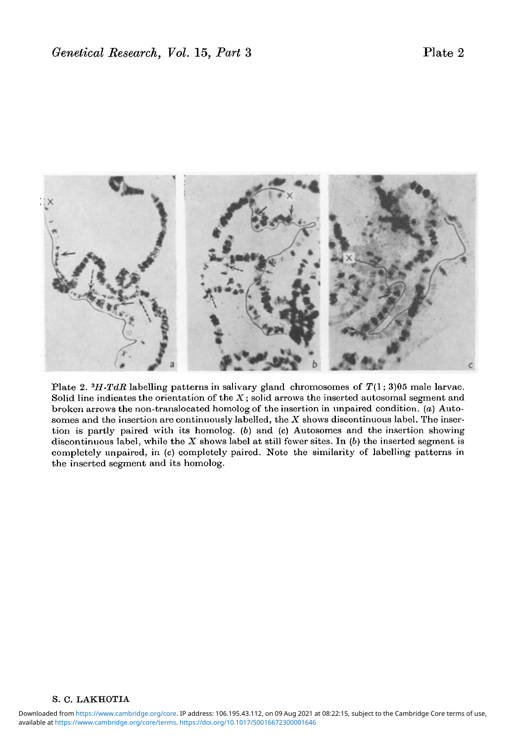

Plate 2. *<sup>3</sup>H-TdR* labelling patterns in salivary gland chromosomes of T(l; 3)05 male larvae. Solid line indicates the orientation of the *X;* solid arrows the inserted autosomal segment and broken arrows the non-translocated homolog of the insertion in unpaired condition, *(a)* Autosomes and the insertion are continuously labelled, the *X* shows discontinuous label. The insertion is partly paired with its homolog. (6) and (c) Autosomes and the insertion showing discontinuous label, while the *X* shows label at still fewer sites. In *(b)* the inserted segment is completely unpaired, in (c) completely paired. Note the similarity of labelling patterns in the inserted segment and its homolog.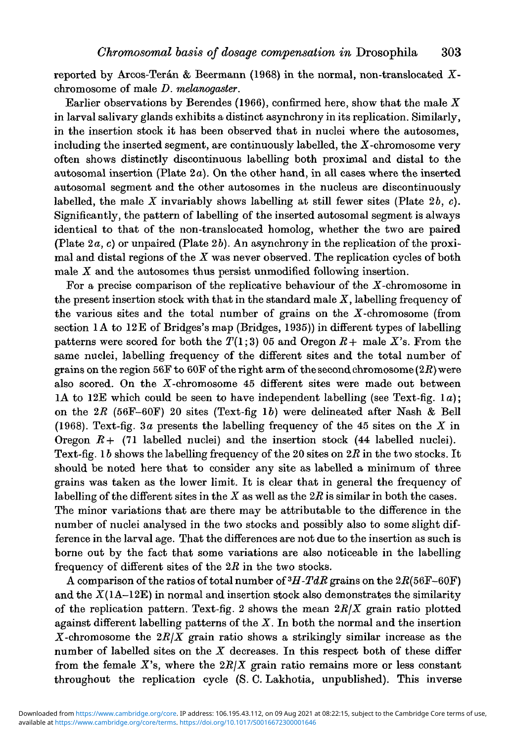reported by Arcos-Terán & Beermann (1968) in the normal, non-translocated  $X$ chromosome of male *D. melanogaster.*

Earlier observations by Berendes (1966), confirmed here, show that the male *X* in larval salivary glands exhibits a distinct asynchrony in its replication. Similarly, in the insertion stock it has been observed that in nuclei where the autosomes, including the inserted segment, are continuously labelled, the X-chromosome very often shows distinctly discontinuous labelling both proximal and distal to the autosomal insertion (Plate  $2a$ ). On the other hand, in all cases where the inserted autosomal segment and the other autosomes in the nucleus are discontinuously labelled, the male  $\overline{X}$  invariably shows labelling at still fewer sites (Plate 2b, c). Significantly, the pattern of labelling of the inserted autosomal segment is always identical to that of the non-translocated homolog, whether the two are paired (Plate *2a, c)* or unpaired (Plate 26). An asynchrony in the replication of the proximal and distal regions of the *X* was never observed. The replication cycles of both male *X* and the autosomes thus persist unmodified following insertion.

For a precise comparison of the replicative behaviour of the  $X$ -chromosome in the present insertion stock with that in the standard male *X,* labelling frequency of the various sites and the total number of grains on the  $X$ -chromosome (from section 1A to 12E of Bridges's map (Bridges, 1935)) in different types of labelling patterns were scored for both the  $T(1,3)$  05 and Oregon  $R$  + male X's. From the same nuclei, labelling frequency of the different sites and the total number of grains on the region 56F to 60F of the right arm of the second chromosome *(2R)* were also scored. On the X-chromosome 45 different sites were made out between 1A to 12E which could be seen to have independent labelling (see Text-fig, la); on the  $2R$  (56F-60F) 20 sites (Text-fig 1b) were delineated after Nash & Bell (1968). Text-fig. 3a presents the labelling frequency of the 45 sites on the  $X$  in Oregon  $R$  + (71 labelled nuclei) and the insertion stock (44 labelled nuclei). Text-fig. 16 shows the labelling frequency of the 20 sites on *2R* in the two stocks. It should be noted here that to consider any site as labelled a minimum of three grains was taken as the lower limit. It is clear that in general the frequency of labelling of the different sites in the X as well as the *2R* is similar in both the cases. The minor variations that are there may be attributable to the difference in the number of nuclei analysed in the two stocks and possibly also to some slight difference in the larval age. That the differences are not due to the insertion as such is borne out by the fact that some variations are also noticeable in the labelling frequency of different sites of the *2R* in the two stocks.

 $\overline{A}$  comparison of the ratios of total number of  $^3H\text{-}TdR$  grains on the  $2R(56\text{F}-60\text{F})$ and the  $X(1A-12E)$  in normal and insertion stock also demonstrates the similarity of the replication pattern. Text-fig. 2 shows the mean *2R/X* grain ratio plotted against different labelling patterns of the  $X$ . In both the normal and the insertion X-chromosome the *2RJX* grain ratio shows a strikingly similar increase as the number of labelled sites on the  $X$  decreases. In this respect both of these differ from the female  $X$ 's, where the  $2R/X$  grain ratio remains more or less constant throughout the replication cycle (S. C. Lakhotia, unpublished). This inverse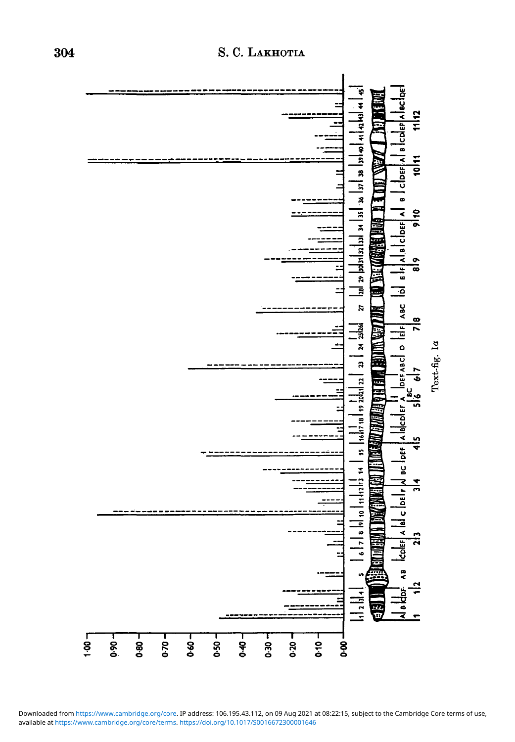

# S. C. Lakho

**I**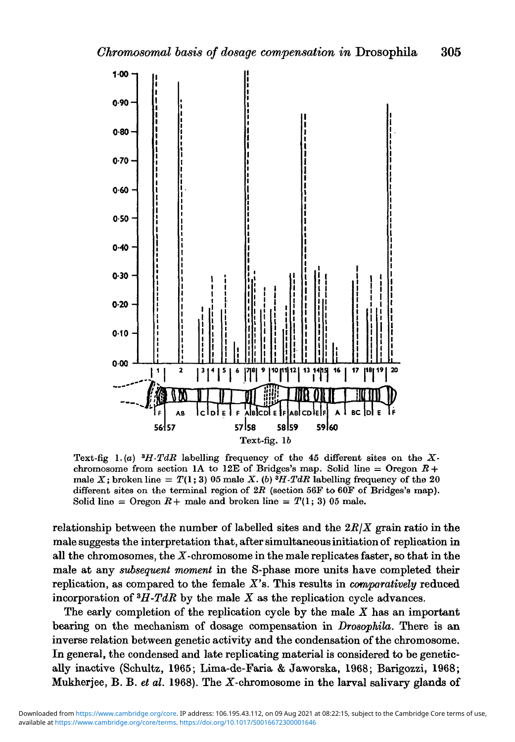

Text-fig  $1.(a)$  <sup>3</sup>*H*-TdR labelling frequency of the 45 different sites on the Xchromosome from section 1A to 12E of Bridges's map. Solid line  $=$  Oregon  $R +$ male X; broken line =  $T(1; 3)$  05 male X. (b)  $^{3}H$ -TdR labelling frequency of the 20 different sites on the terminal region of *2R* (section 56F to 60F of Bridges's map). Solid line = Oregon  $R+$  male and broken line =  $T(1; 3)$  05 male.

relationship between the number of labelled sites and the *2R/X* grain ratio in the male suggests the interpretation that, after simultaneous initiation of replication in all the chromosomes, the  $X$ -chromosome in the male replicates faster, so that in the male at any *subsequent moment* in the S-phase more units have completed their replication, as compared to the female *X'B.* This results in *comparatively* reduced incorporation of *<sup>3</sup>H-TdR* by the male *X* as the replication cycle advances.

The early completion of the replication cycle by the male *X* has an important bearing on the mechanism of dosage compensation in *Drosophila.* There is an inverse relation between genetic activity and the condensation of the chromosome. In general, the condensed and late replicating material is considered to be genetically inactive (Schultz, 1965; Lima-de-Faria & Jaworska, 1968; Barigozzi, 1968; Mukherjee, B. B. *et al.* 1968). The X-chromosome in the larval salivary glands of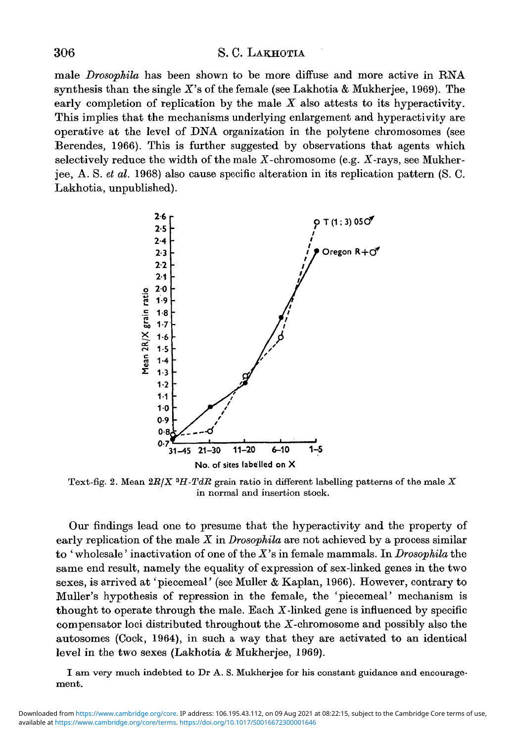## 306 S. C. LAKHOTIA

male *Drosophila* has been shown to be more diffuse and more active in RNA synthesis than the single *X's* of the female (see Lakhotia & Mukherjee, 1969). The early completion of replication by the male *X* also attests to its hyperactivity. This implies that the mechanisms underlying enlargement and hyperactivity are operative at the level of DNA organization in the polytene chromosomes (see Berendes, 1966). This is further suggested by observations that agents which selectively reduce the width of the male  $X$ -chromosome (e.g.  $X$ -rays, see Mukherjee, A. S. *et al.* 1968) also cause specific alteration in its replication pattern (S. C. Lakhotia, unpublished).



Text-fig. 2. Mean *2B/X<sup>3</sup>H-TdB* grain ratio in different labelling patterns of the male *X* in normal and insertion stock.

Our findings lead one to presume that the hyperactivity and the property of early replication of the male *X* in *Drosophila* are not achieved by a process similar to ' wholesale' inactivation of one of the *X's* in female mammals. In *Drosophila* the same end result, namely the equality of expression of sex-linked genes in the two sexes, is arrived at 'piecemeal' (see Muller & Kaplan, 1966). However, contrary to Muller's hypothesis of repression in the female, the 'piecemeal' mechanism is thought to operate through the male. Each  $X$ -linked gene is influenced by specific compensator loci distributed throughout the  $X$ -chromosome and possibly also the autosomes (Cock, 1964), in such a way that they are activated to an identical level in the two sexes (Lakhotia & Mukherjee, 1969).

I am very much indebted to Dr A. S. Mukherjee for his constant guidance and encouragement.